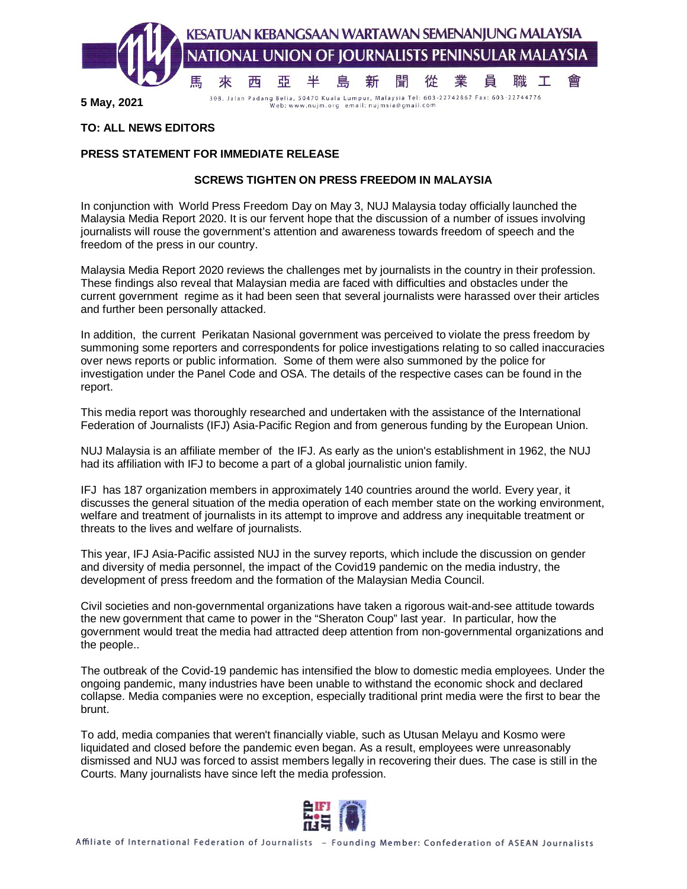

**5 May, 2021**

Web: www.nujm.org email: nujmsia@gmail.com

## **TO: ALL NEWS EDITORS**

## **PRESS STATEMENT FOR IMMEDIATE RELEASE**

## **SCREWS TIGHTEN ON PRESS FREEDOM IN MALAYSIA**

In conjunction with World Press Freedom Day on May 3, NUJ Malaysia today officially launched the Malaysia Media Report 2020. It is our fervent hope that the discussion of a number of issues involving journalists will rouse the government's attention and awareness towards freedom of speech and the freedom of the press in our country.

Malaysia Media Report 2020 reviews the challenges met by journalists in the country in their profession. These findings also reveal that Malaysian media are faced with difficulties and obstacles under the current government regime as it had been seen that several journalists were harassed over their articles and further been personally attacked.

In addition, the current Perikatan Nasional government was perceived to violate the press freedom by summoning some reporters and correspondents for police investigations relating to so called inaccuracies over news reports or public information. Some of them were also summoned by the police for investigation under the Panel Code and OSA. The details of the respective cases can be found in the report.

This media report was thoroughly researched and undertaken with the assistance of the International Federation of Journalists (IFJ) Asia-Pacific Region and from generous funding by the European Union.

NUJ Malaysia is an affiliate member of the IFJ. As early as the union's establishment in 1962, the NUJ had its affiliation with IFJ to become a part of a global journalistic union family.

IFJ has 187 organization members in approximately 140 countries around the world. Every year, it discusses the general situation of the media operation of each member state on the working environment, welfare and treatment of journalists in its attempt to improve and address any inequitable treatment or threats to the lives and welfare of journalists.

This year, IFJ Asia-Pacific assisted NUJ in the survey reports, which include the discussion on gender and diversity of media personnel, the impact of the Covid19 pandemic on the media industry, the development of press freedom and the formation of the Malaysian Media Council.

Civil societies and non-governmental organizations have taken a rigorous wait-and-see attitude towards the new government that came to power in the "Sheraton Coup" last year. In particular, how the government would treat the media had attracted deep attention from non-governmental organizations and the people..

The outbreak of the Covid-19 pandemic has intensified the blow to domestic media employees. Under the ongoing pandemic, many industries have been unable to withstand the economic shock and declared collapse. Media companies were no exception, especially traditional print media were the first to bear the brunt.

To add, media companies that weren't financially viable, such as Utusan Melayu and Kosmo were liquidated and closed before the pandemic even began. As a result, employees were unreasonably dismissed and NUJ was forced to assist members legally in recovering their dues. The case is still in the Courts. Many journalists have since left the media profession.